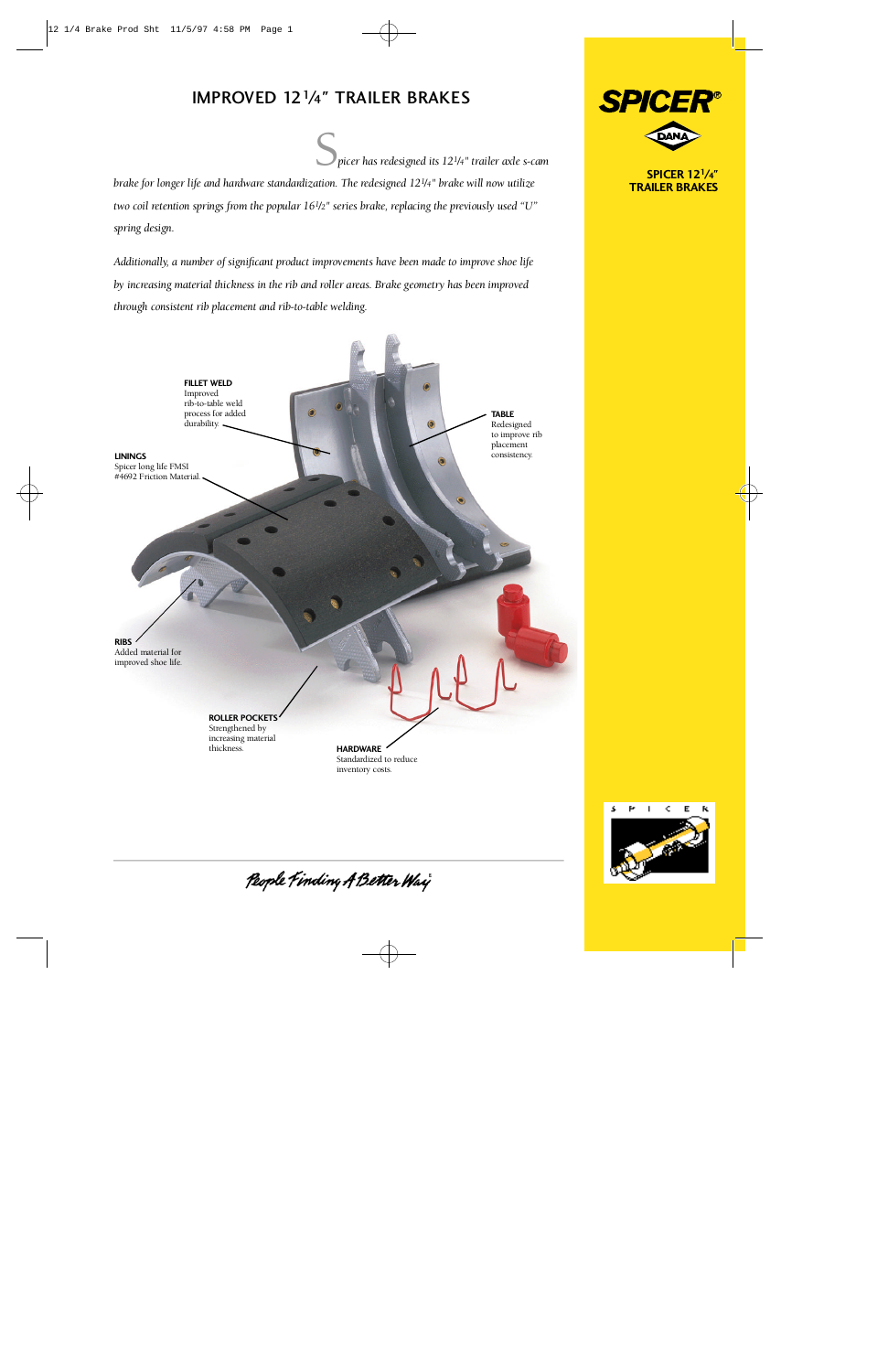## IMPROVED 12<sup>1</sup>/4" TRAILER BRAKES

S*picer has redesigned its 121/4" trailer axle s-cam*

*brake for longer life and hardware standardization. The redesigned 12<sup>1</sup>/<sup>4</sup> <i>brake will now utilize two coil retention springs from the popular 161/2" series brake, replacing the previously used "U" spring design.*

Additionally, a number of significant product improvements have been made to improve shoe life *by increasing material thickness in the rib and roller areas. Brake geometry has been improved t h rough consistent rib placement and rib-to-table welding.*





People Finding A Better Way



**SPICER 12<sup>1</sup>/4" TRAILER BRAKES**